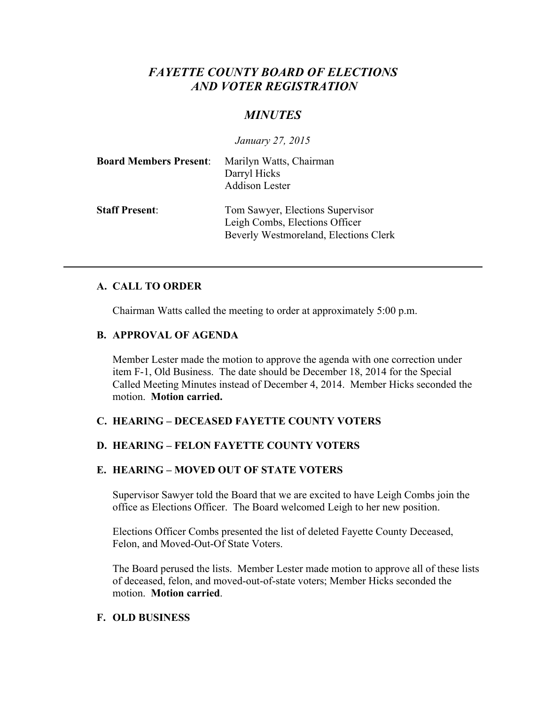# *FAYETTE COUNTY BOARD OF ELECTIONS AND VOTER REGISTRATION*

# *MINUTES*

*January 27, 2015*

| <b>Board Members Present:</b> | Marilyn Watts, Chairman<br>Darryl Hicks<br><b>Addison Lester</b>                                            |
|-------------------------------|-------------------------------------------------------------------------------------------------------------|
| <b>Staff Present:</b>         | Tom Sawyer, Elections Supervisor<br>Leigh Combs, Elections Officer<br>Beverly Westmoreland, Elections Clerk |

### **A. CALL TO ORDER**

Chairman Watts called the meeting to order at approximately 5:00 p.m.

### **B. APPROVAL OF AGENDA**

Member Lester made the motion to approve the agenda with one correction under item F-1, Old Business. The date should be December 18, 2014 for the Special Called Meeting Minutes instead of December 4, 2014. Member Hicks seconded the motion. **Motion carried.**

# **C. HEARING – DECEASED FAYETTE COUNTY VOTERS**

# **D. HEARING – FELON FAYETTE COUNTY VOTERS**

# **E. HEARING – MOVED OUT OF STATE VOTERS**

Supervisor Sawyer told the Board that we are excited to have Leigh Combs join the office as Elections Officer. The Board welcomed Leigh to her new position.

Elections Officer Combs presented the list of deleted Fayette County Deceased, Felon, and Moved-Out-Of State Voters.

The Board perused the lists. Member Lester made motion to approve all of these lists of deceased, felon, and moved-out-of-state voters; Member Hicks seconded the motion. **Motion carried**.

### **F. OLD BUSINESS**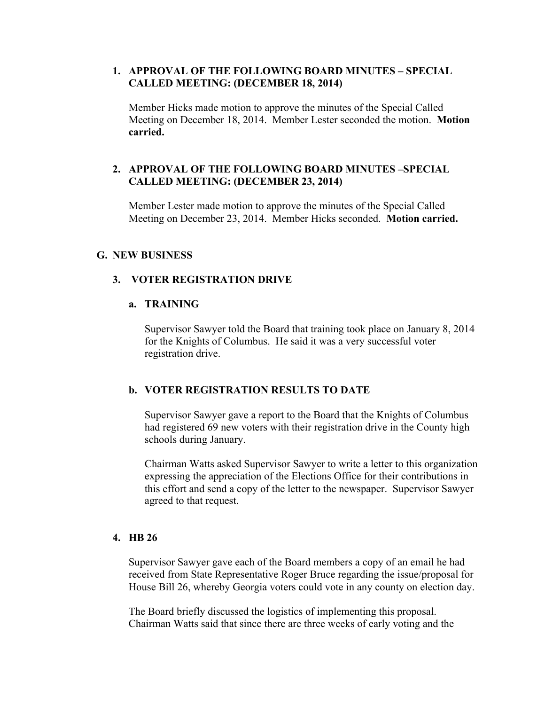### **1. APPROVAL OF THE FOLLOWING BOARD MINUTES – SPECIAL CALLED MEETING: (DECEMBER 18, 2014)**

Member Hicks made motion to approve the minutes of the Special Called Meeting on December 18, 2014. Member Lester seconded the motion. **Motion carried.**

### **2. APPROVAL OF THE FOLLOWING BOARD MINUTES –SPECIAL CALLED MEETING: (DECEMBER 23, 2014)**

Member Lester made motion to approve the minutes of the Special Called Meeting on December 23, 2014. Member Hicks seconded. **Motion carried.**

### **G. NEW BUSINESS**

### **3. VOTER REGISTRATION DRIVE**

### **a. TRAINING**

Supervisor Sawyer told the Board that training took place on January 8, 2014 for the Knights of Columbus. He said it was a very successful voter registration drive.

### **b. VOTER REGISTRATION RESULTS TO DATE**

Supervisor Sawyer gave a report to the Board that the Knights of Columbus had registered 69 new voters with their registration drive in the County high schools during January.

Chairman Watts asked Supervisor Sawyer to write a letter to this organization expressing the appreciation of the Elections Office for their contributions in this effort and send a copy of the letter to the newspaper. Supervisor Sawyer agreed to that request.

#### **4. HB 26**

Supervisor Sawyer gave each of the Board members a copy of an email he had received from State Representative Roger Bruce regarding the issue/proposal for House Bill 26, whereby Georgia voters could vote in any county on election day.

The Board briefly discussed the logistics of implementing this proposal. Chairman Watts said that since there are three weeks of early voting and the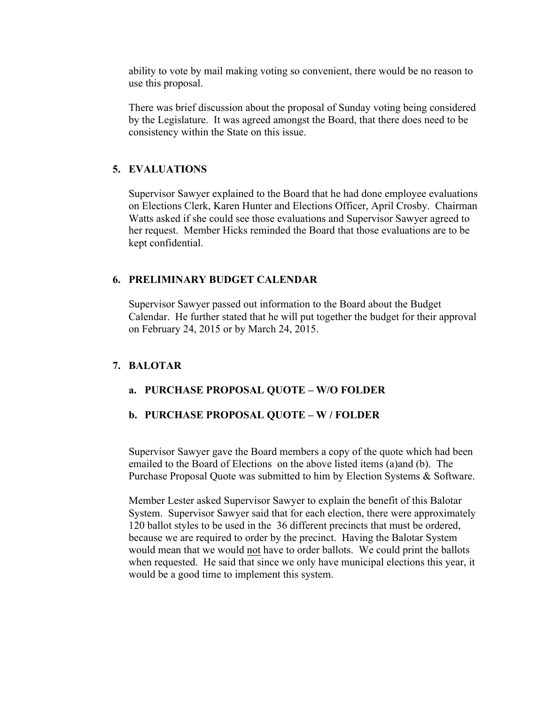ability to vote by mail making voting so convenient, there would be no reason to use this proposal.

There was brief discussion about the proposal of Sunday voting being considered by the Legislature. It was agreed amongst the Board, that there does need to be consistency within the State on this issue.

# **5. EVALUATIONS**

Supervisor Sawyer explained to the Board that he had done employee evaluations on Elections Clerk, Karen Hunter and Elections Officer, April Crosby. Chairman Watts asked if she could see those evaluations and Supervisor Sawyer agreed to her request. Member Hicks reminded the Board that those evaluations are to be kept confidential.

# **6. PRELIMINARY BUDGET CALENDAR**

Supervisor Sawyer passed out information to the Board about the Budget Calendar. He further stated that he will put together the budget for their approval on February 24, 2015 or by March 24, 2015.

# **7. BALOTAR**

# **a. PURCHASE PROPOSAL QUOTE – W/O FOLDER**

# **b. PURCHASE PROPOSAL QUOTE – W / FOLDER**

Supervisor Sawyer gave the Board members a copy of the quote which had been emailed to the Board of Elections on the above listed items (a)and (b). The Purchase Proposal Quote was submitted to him by Election Systems & Software.

Member Lester asked Supervisor Sawyer to explain the benefit of this Balotar System. Supervisor Sawyer said that for each election, there were approximately 120 ballot styles to be used in the 36 different precincts that must be ordered, because we are required to order by the precinct. Having the Balotar System would mean that we would not have to order ballots. We could print the ballots when requested. He said that since we only have municipal elections this year, it would be a good time to implement this system.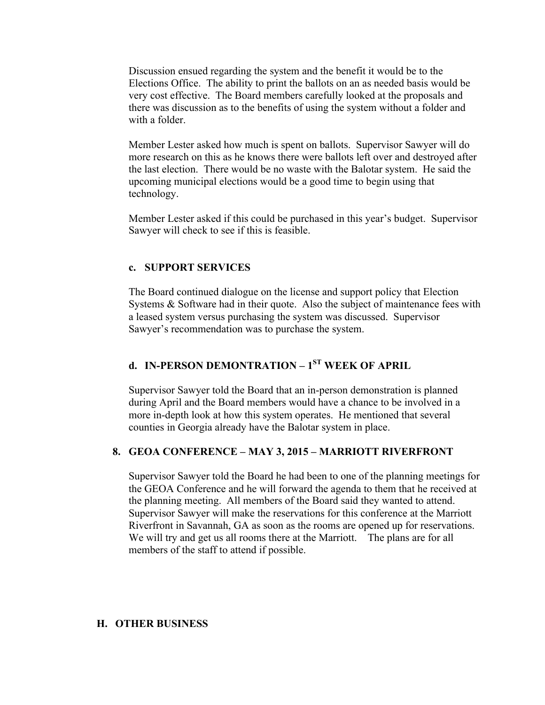Discussion ensued regarding the system and the benefit it would be to the Elections Office. The ability to print the ballots on an as needed basis would be very cost effective. The Board members carefully looked at the proposals and there was discussion as to the benefits of using the system without a folder and with a folder

Member Lester asked how much is spent on ballots. Supervisor Sawyer will do more research on this as he knows there were ballots left over and destroyed after the last election. There would be no waste with the Balotar system. He said the upcoming municipal elections would be a good time to begin using that technology.

Member Lester asked if this could be purchased in this year's budget. Supervisor Sawyer will check to see if this is feasible.

#### **c. SUPPORT SERVICES**

The Board continued dialogue on the license and support policy that Election Systems & Software had in their quote. Also the subject of maintenance fees with a leased system versus purchasing the system was discussed. Supervisor Sawyer's recommendation was to purchase the system.

# **d. IN-PERSON DEMONTRATION – 1ST WEEK OF APRIL**

Supervisor Sawyer told the Board that an in-person demonstration is planned during April and the Board members would have a chance to be involved in a more in-depth look at how this system operates. He mentioned that several counties in Georgia already have the Balotar system in place.

### **8. GEOA CONFERENCE – MAY 3, 2015 – MARRIOTT RIVERFRONT**

Supervisor Sawyer told the Board he had been to one of the planning meetings for the GEOA Conference and he will forward the agenda to them that he received at the planning meeting. All members of the Board said they wanted to attend. Supervisor Sawyer will make the reservations for this conference at the Marriott Riverfront in Savannah, GA as soon as the rooms are opened up for reservations. We will try and get us all rooms there at the Marriott. The plans are for all members of the staff to attend if possible.

#### **H. OTHER BUSINESS**